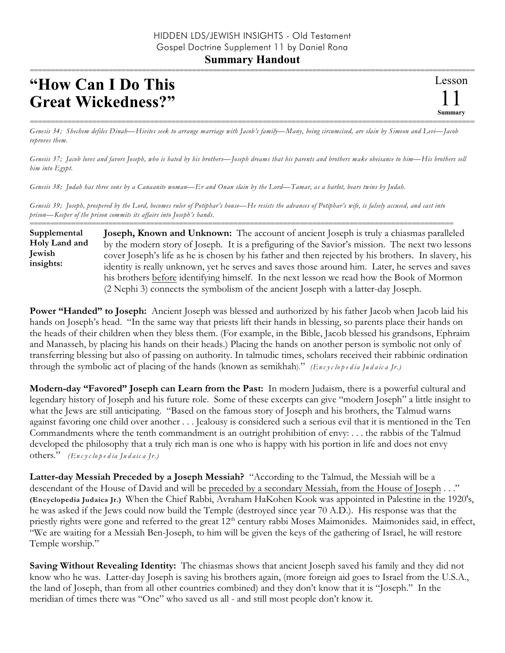## **Summary Handout**

## **"How Can I Do This Great Wickedness?"**

=========================================================================================================== *Genesis 34; Shechem defiles Dinah—Hivites seek to arrange marriage with Jacob's family—Many, being circumcised, are slain by Simeon and Levi—Jacob reproves them.*

*Genesis 37; Jacob loves and favors Joseph, who is hated by his brothers—Joseph dreams that his parents and brothers make obeisance to him—His brothers sell him into Egypt.*

*Genesis 38; Judah has three sons by a Canaanite woman—Er and Onan slain by the Lord—Tamar, as a harlot, bears twins by Judah.*

*Genesis 39; Joseph, prospered by the Lord, becomes ruler of Potiphar's house—He resists the advances of Potiphar's wife, is falsely accused, and cast into prison—Keeper of the prison commits its affairs into Joseph's hands.*

====================================================================================================== **Joseph, Known and Unknown:** The account of ancient Joseph is truly a chiasmas paralleled by the modern story of Joseph. It is a prefiguring of the Savior's mission. The next two lessons cover Joseph's life as he is chosen by his father and then rejected by his brothers. In slavery, his identity is really unknown, yet he serves and saves those around him. Later, he serves and saves his brothers before identifying himself. In the next lesson we read how the Book of Mormon (2 Nephi 3) connects the symbolism of the ancient Joseph with a latter-day Joseph. **Supplemental Holy Land and Jewish insights:**

**Power "Handed" to Joseph:** Ancient Joseph was blessed and authorized by his father Jacob when Jacob laid his hands on Joseph's head. "In the same way that priests lift their hands in blessing, so parents place their hands on the heads of their children when they bless them. (For example, in the Bible, Jacob blessed his grandsons, Ephraim and Manasseh, by placing his hands on their heads.) Placing the hands on another person is symbolic not only of transferring blessing but also of passing on authority. In talmudic times, scholars received their rabbinic ordination through the symbolic act of placing of the hands (known as semikhah)." *(En c y c lo p e d ia Ju d a ic a Jr.)*

**Modern-day "Favored" Joseph can Learn from the Past:** In modern Judaism, there is a powerful cultural and legendary history of Joseph and his future role. Some of these excerpts can give "modern Joseph" a little insight to what the Jews are still anticipating. "Based on the famous story of Joseph and his brothers, the Talmud warns against favoring one child over another . . . Jealousy is considered such a serious evil that it is mentioned in the Ten Commandments where the tenth commandment is an outright prohibition of envy: . . . the rabbis of the Talmud developed the philosophy that a truly rich man is one who is happy with his portion in life and does not envy others." *(En c y c lo p e d ia Ju d a ic a Jr.)*

**Latter-day Messiah Preceded by a Joseph Messiah?** "According to the Talmud, the Messiah will be a descendant of the House of David and will be preceded by a secondary Messiah, from the House of Joseph . . ." **(Encyclopedia Judaica Jr.)** When the Chief Rabbi, Avraham HaKohen Kook was appointed in Palestine in the 1920's, he was asked if the Jews could now build the Temple (destroyed since year 70 A.D.). His response was that the priestly rights were gone and referred to the great 12<sup>th</sup> century rabbi Moses Maimonides. Maimonides said, in effect, "We are waiting for a Messiah Ben-Joseph, to him will be given the keys of the gathering of Israel, he will restore Temple worship."

**Saving Without Revealing Identity:** The chiasmas shows that ancient Joseph saved his family and they did not know who he was. Latter-day Joseph is saving his brothers again, (more foreign aid goes to Israel from the U.S.A., the land of Joseph, than from all other countries combined) and they don't know that it is "Joseph." In the meridian of times there was "One" who saved us all - and still most people don't know it.